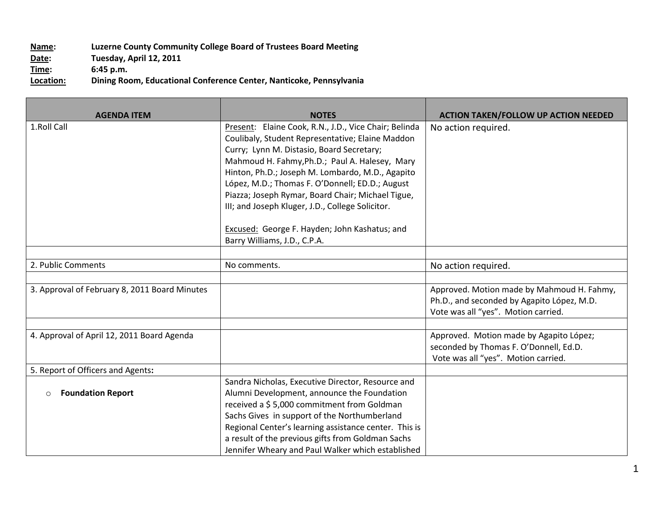## **Name: Luzerne County Community College Board of Trustees Board Meeting Date:** Tuesday, April 12, 2011<br> **Time:** 6:45 p.m. **Time:** 6:45 p.m.<br> **Location:** Dining Roo **Location: Dining Room, Educational Conference Center, Nanticoke, Pennsylvania**

| <b>AGENDA ITEM</b>                            | <b>NOTES</b>                                                                                                                                                                                                                                                                                                                                                                                                                                                                                              | <b>ACTION TAKEN/FOLLOW UP ACTION NEEDED</b>                                                                                     |
|-----------------------------------------------|-----------------------------------------------------------------------------------------------------------------------------------------------------------------------------------------------------------------------------------------------------------------------------------------------------------------------------------------------------------------------------------------------------------------------------------------------------------------------------------------------------------|---------------------------------------------------------------------------------------------------------------------------------|
| 1.Roll Call                                   | Present: Elaine Cook, R.N., J.D., Vice Chair; Belinda<br>Coulibaly, Student Representative; Elaine Maddon<br>Curry; Lynn M. Distasio, Board Secretary;<br>Mahmoud H. Fahmy, Ph.D.; Paul A. Halesey, Mary<br>Hinton, Ph.D.; Joseph M. Lombardo, M.D., Agapito<br>López, M.D.; Thomas F. O'Donnell; ED.D.; August<br>Piazza; Joseph Rymar, Board Chair; Michael Tigue,<br>III; and Joseph Kluger, J.D., College Solicitor.<br>Excused: George F. Hayden; John Kashatus; and<br>Barry Williams, J.D., C.P.A. | No action required.                                                                                                             |
|                                               |                                                                                                                                                                                                                                                                                                                                                                                                                                                                                                           |                                                                                                                                 |
| 2. Public Comments                            | No comments.                                                                                                                                                                                                                                                                                                                                                                                                                                                                                              | No action required.                                                                                                             |
|                                               |                                                                                                                                                                                                                                                                                                                                                                                                                                                                                                           |                                                                                                                                 |
| 3. Approval of February 8, 2011 Board Minutes |                                                                                                                                                                                                                                                                                                                                                                                                                                                                                                           | Approved. Motion made by Mahmoud H. Fahmy,<br>Ph.D., and seconded by Agapito López, M.D.<br>Vote was all "yes". Motion carried. |
|                                               |                                                                                                                                                                                                                                                                                                                                                                                                                                                                                                           |                                                                                                                                 |
| 4. Approval of April 12, 2011 Board Agenda    |                                                                                                                                                                                                                                                                                                                                                                                                                                                                                                           | Approved. Motion made by Agapito López;<br>seconded by Thomas F. O'Donnell, Ed.D.<br>Vote was all "yes". Motion carried.        |
| 5. Report of Officers and Agents:             |                                                                                                                                                                                                                                                                                                                                                                                                                                                                                                           |                                                                                                                                 |
| <b>Foundation Report</b><br>$\circ$           | Sandra Nicholas, Executive Director, Resource and<br>Alumni Development, announce the Foundation<br>received a \$5,000 commitment from Goldman<br>Sachs Gives in support of the Northumberland<br>Regional Center's learning assistance center. This is<br>a result of the previous gifts from Goldman Sachs<br>Jennifer Wheary and Paul Walker which established                                                                                                                                         |                                                                                                                                 |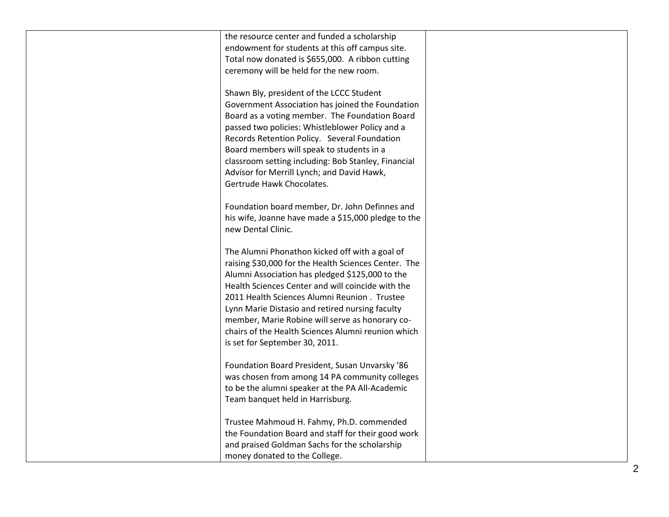| the resource center and funded a scholarship         |  |
|------------------------------------------------------|--|
| endowment for students at this off campus site.      |  |
| Total now donated is \$655,000. A ribbon cutting     |  |
| ceremony will be held for the new room.              |  |
|                                                      |  |
| Shawn Bly, president of the LCCC Student             |  |
| Government Association has joined the Foundation     |  |
| Board as a voting member. The Foundation Board       |  |
| passed two policies: Whistleblower Policy and a      |  |
| Records Retention Policy. Several Foundation         |  |
| Board members will speak to students in a            |  |
| classroom setting including: Bob Stanley, Financial  |  |
|                                                      |  |
| Advisor for Merrill Lynch; and David Hawk,           |  |
| Gertrude Hawk Chocolates.                            |  |
| Foundation board member, Dr. John Definnes and       |  |
|                                                      |  |
| his wife, Joanne have made a \$15,000 pledge to the  |  |
| new Dental Clinic.                                   |  |
|                                                      |  |
| The Alumni Phonathon kicked off with a goal of       |  |
| raising \$30,000 for the Health Sciences Center. The |  |
| Alumni Association has pledged \$125,000 to the      |  |
| Health Sciences Center and will coincide with the    |  |
| 2011 Health Sciences Alumni Reunion . Trustee        |  |
| Lynn Marie Distasio and retired nursing faculty      |  |
| member, Marie Robine will serve as honorary co-      |  |
| chairs of the Health Sciences Alumni reunion which   |  |
| is set for September 30, 2011.                       |  |
|                                                      |  |
| Foundation Board President, Susan Unvarsky '86       |  |
| was chosen from among 14 PA community colleges       |  |
| to be the alumni speaker at the PA All-Academic      |  |
| Team banquet held in Harrisburg.                     |  |
|                                                      |  |
| Trustee Mahmoud H. Fahmy, Ph.D. commended            |  |
| the Foundation Board and staff for their good work   |  |
| and praised Goldman Sachs for the scholarship        |  |
| money donated to the College.                        |  |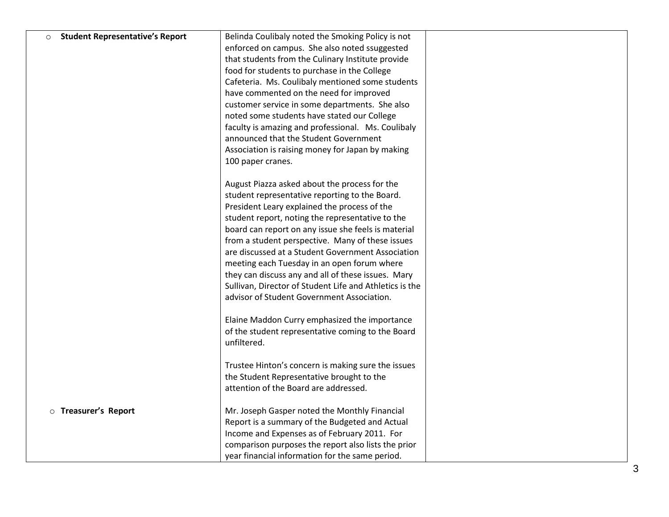| $\circ$ | <b>Student Representative's Report</b> | Belinda Coulibaly noted the Smoking Policy is not       |  |
|---------|----------------------------------------|---------------------------------------------------------|--|
|         |                                        | enforced on campus. She also noted ssuggested           |  |
|         |                                        | that students from the Culinary Institute provide       |  |
|         |                                        | food for students to purchase in the College            |  |
|         |                                        | Cafeteria. Ms. Coulibaly mentioned some students        |  |
|         |                                        | have commented on the need for improved                 |  |
|         |                                        | customer service in some departments. She also          |  |
|         |                                        | noted some students have stated our College             |  |
|         |                                        | faculty is amazing and professional. Ms. Coulibaly      |  |
|         |                                        | announced that the Student Government                   |  |
|         |                                        | Association is raising money for Japan by making        |  |
|         |                                        | 100 paper cranes.                                       |  |
|         |                                        | August Piazza asked about the process for the           |  |
|         |                                        | student representative reporting to the Board.          |  |
|         |                                        | President Leary explained the process of the            |  |
|         |                                        | student report, noting the representative to the        |  |
|         |                                        | board can report on any issue she feels is material     |  |
|         |                                        | from a student perspective. Many of these issues        |  |
|         |                                        | are discussed at a Student Government Association       |  |
|         |                                        | meeting each Tuesday in an open forum where             |  |
|         |                                        | they can discuss any and all of these issues. Mary      |  |
|         |                                        | Sullivan, Director of Student Life and Athletics is the |  |
|         |                                        | advisor of Student Government Association.              |  |
|         |                                        |                                                         |  |
|         |                                        | Elaine Maddon Curry emphasized the importance           |  |
|         |                                        | of the student representative coming to the Board       |  |
|         |                                        | unfiltered.                                             |  |
|         |                                        | Trustee Hinton's concern is making sure the issues      |  |
|         |                                        | the Student Representative brought to the               |  |
|         |                                        | attention of the Board are addressed.                   |  |
|         | <b>O</b> Treasurer's Report            | Mr. Joseph Gasper noted the Monthly Financial           |  |
|         |                                        | Report is a summary of the Budgeted and Actual          |  |
|         |                                        | Income and Expenses as of February 2011. For            |  |
|         |                                        | comparison purposes the report also lists the prior     |  |
|         |                                        | year financial information for the same period.         |  |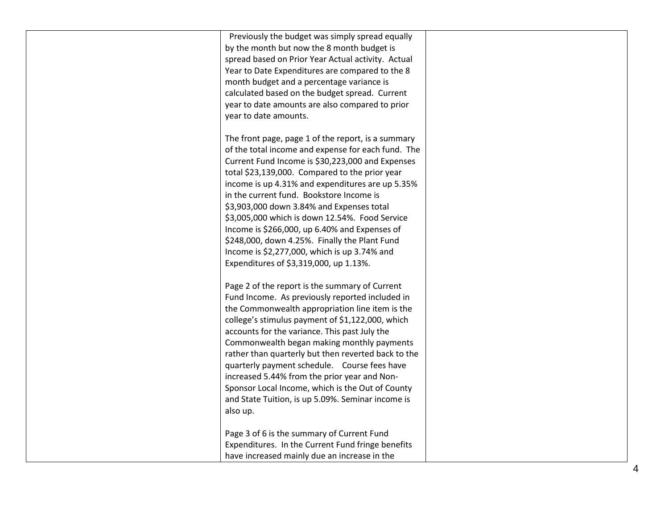| Previously the budget was simply spread equally<br>by the month but now the 8 month budget is<br>spread based on Prior Year Actual activity. Actual<br>Year to Date Expenditures are compared to the 8<br>month budget and a percentage variance is<br>calculated based on the budget spread. Current<br>year to date amounts are also compared to prior<br>year to date amounts.                                                                                                                                                                                                                                             |  |
|-------------------------------------------------------------------------------------------------------------------------------------------------------------------------------------------------------------------------------------------------------------------------------------------------------------------------------------------------------------------------------------------------------------------------------------------------------------------------------------------------------------------------------------------------------------------------------------------------------------------------------|--|
| The front page, page 1 of the report, is a summary<br>of the total income and expense for each fund. The<br>Current Fund Income is \$30,223,000 and Expenses<br>total \$23,139,000. Compared to the prior year<br>income is up 4.31% and expenditures are up 5.35%<br>in the current fund. Bookstore Income is<br>\$3,903,000 down 3.84% and Expenses total<br>\$3,005,000 which is down 12.54%. Food Service<br>Income is \$266,000, up 6.40% and Expenses of<br>\$248,000, down 4.25%. Finally the Plant Fund<br>Income is \$2,277,000, which is up 3.74% and                                                               |  |
| Expenditures of \$3,319,000, up 1.13%.<br>Page 2 of the report is the summary of Current<br>Fund Income. As previously reported included in<br>the Commonwealth appropriation line item is the<br>college's stimulus payment of \$1,122,000, which<br>accounts for the variance. This past July the<br>Commonwealth began making monthly payments<br>rather than quarterly but then reverted back to the<br>quarterly payment schedule. Course fees have<br>increased 5.44% from the prior year and Non-<br>Sponsor Local Income, which is the Out of County<br>and State Tuition, is up 5.09%. Seminar income is<br>also up. |  |
| Page 3 of 6 is the summary of Current Fund<br>Expenditures. In the Current Fund fringe benefits<br>have increased mainly due an increase in the                                                                                                                                                                                                                                                                                                                                                                                                                                                                               |  |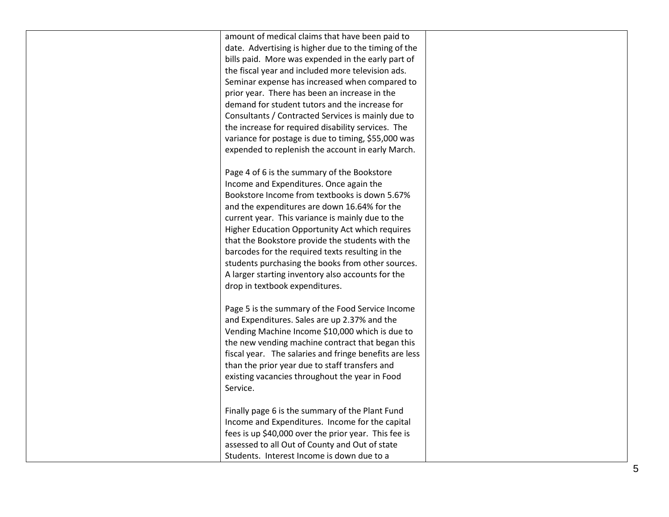amount of medical claims that have been paid to date. Advertising is higher due to the timing of the bills paid. More was expended in the early part of the fiscal year and included more television ads. Seminar expense has increased when compared to prior year. There has been an increase in the demand for student tutors and the increase for Consultants / Contracted Services is mainly due to the increase for required disability services. The variance for postage is due to timing, \$55,000 was expended to replenish the account in early March.

Page 4 of 6 is the summary of the Bookstore Income and Expenditures. Once again the Bookstore Income from textbooks is down 5.67% and the expenditures are down 16.64% for the current year. This variance is mainly due to the Higher Education Opportunity Act which requires that the Bookstore provide the students with the barcodes for the required texts resulting in the students purchasing the books from other sources. A larger starting inventory also accounts for the drop in textbook expenditures.

Page 5 is the summary of the Food Service Income and Expenditures. Sales are up 2.37% and the Vending Machine Income \$10,000 which is due to the new vending machine contract that began this fiscal year. The salaries and fringe benefits are less than the prior year due to staff transfers and existing vacancies throughout the year in Food Service.

Finally page 6 is the summary of the Plant Fund Income and Expenditures. Income for the capital fees is up \$40,000 over the prior year. This fee is assessed to all Out of County and Out of state Students. Interest Income is down due to a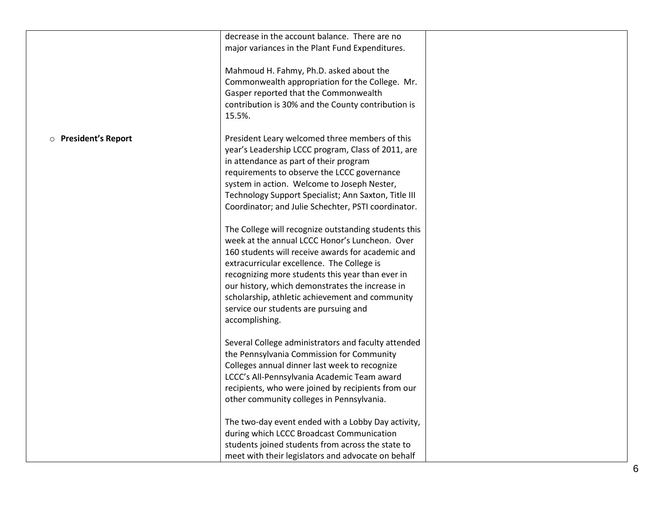|                      | decrease in the account balance. There are no<br>major variances in the Plant Fund Expenditures.<br>Mahmoud H. Fahmy, Ph.D. asked about the<br>Commonwealth appropriation for the College. Mr.<br>Gasper reported that the Commonwealth<br>contribution is 30% and the County contribution is<br>15.5%.                                                                                                                        |  |
|----------------------|--------------------------------------------------------------------------------------------------------------------------------------------------------------------------------------------------------------------------------------------------------------------------------------------------------------------------------------------------------------------------------------------------------------------------------|--|
| O President's Report | President Leary welcomed three members of this<br>year's Leadership LCCC program, Class of 2011, are<br>in attendance as part of their program<br>requirements to observe the LCCC governance<br>system in action. Welcome to Joseph Nester,<br>Technology Support Specialist; Ann Saxton, Title III<br>Coordinator; and Julie Schechter, PSTI coordinator.                                                                    |  |
|                      | The College will recognize outstanding students this<br>week at the annual LCCC Honor's Luncheon. Over<br>160 students will receive awards for academic and<br>extracurricular excellence. The College is<br>recognizing more students this year than ever in<br>our history, which demonstrates the increase in<br>scholarship, athletic achievement and community<br>service our students are pursuing and<br>accomplishing. |  |
|                      | Several College administrators and faculty attended<br>the Pennsylvania Commission for Community<br>Colleges annual dinner last week to recognize<br>LCCC's All-Pennsylvania Academic Team award<br>recipients, who were joined by recipients from our<br>other community colleges in Pennsylvania.                                                                                                                            |  |
|                      | The two-day event ended with a Lobby Day activity,<br>during which LCCC Broadcast Communication<br>students joined students from across the state to<br>meet with their legislators and advocate on behalf                                                                                                                                                                                                                     |  |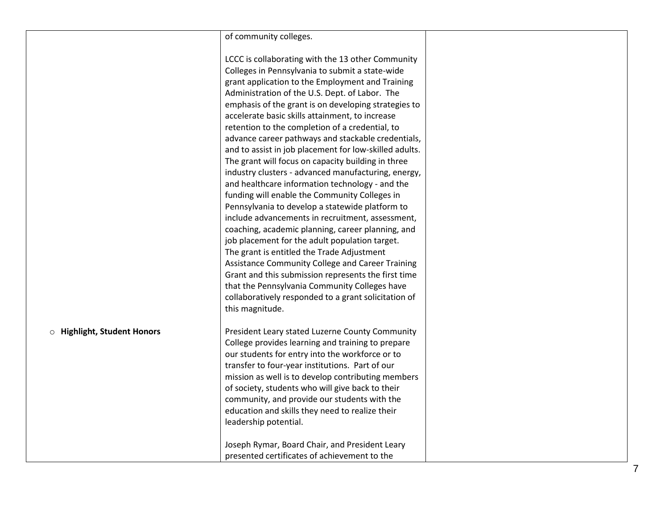|                                    | of community colleges.                                 |  |
|------------------------------------|--------------------------------------------------------|--|
|                                    |                                                        |  |
|                                    | LCCC is collaborating with the 13 other Community      |  |
|                                    | Colleges in Pennsylvania to submit a state-wide        |  |
|                                    | grant application to the Employment and Training       |  |
|                                    | Administration of the U.S. Dept. of Labor. The         |  |
|                                    | emphasis of the grant is on developing strategies to   |  |
|                                    | accelerate basic skills attainment, to increase        |  |
|                                    | retention to the completion of a credential, to        |  |
|                                    | advance career pathways and stackable credentials,     |  |
|                                    | and to assist in job placement for low-skilled adults. |  |
|                                    | The grant will focus on capacity building in three     |  |
|                                    | industry clusters - advanced manufacturing, energy,    |  |
|                                    | and healthcare information technology - and the        |  |
|                                    | funding will enable the Community Colleges in          |  |
|                                    | Pennsylvania to develop a statewide platform to        |  |
|                                    | include advancements in recruitment, assessment,       |  |
|                                    | coaching, academic planning, career planning, and      |  |
|                                    | job placement for the adult population target.         |  |
|                                    | The grant is entitled the Trade Adjustment             |  |
|                                    | Assistance Community College and Career Training       |  |
|                                    | Grant and this submission represents the first time    |  |
|                                    | that the Pennsylvania Community Colleges have          |  |
|                                    | collaboratively responded to a grant solicitation of   |  |
|                                    | this magnitude.                                        |  |
| <b>O</b> Highlight, Student Honors | President Leary stated Luzerne County Community        |  |
|                                    | College provides learning and training to prepare      |  |
|                                    | our students for entry into the workforce or to        |  |
|                                    | transfer to four-year institutions. Part of our        |  |
|                                    | mission as well is to develop contributing members     |  |
|                                    | of society, students who will give back to their       |  |
|                                    | community, and provide our students with the           |  |
|                                    | education and skills they need to realize their        |  |
|                                    | leadership potential.                                  |  |
|                                    | Joseph Rymar, Board Chair, and President Leary         |  |
|                                    | presented certificates of achievement to the           |  |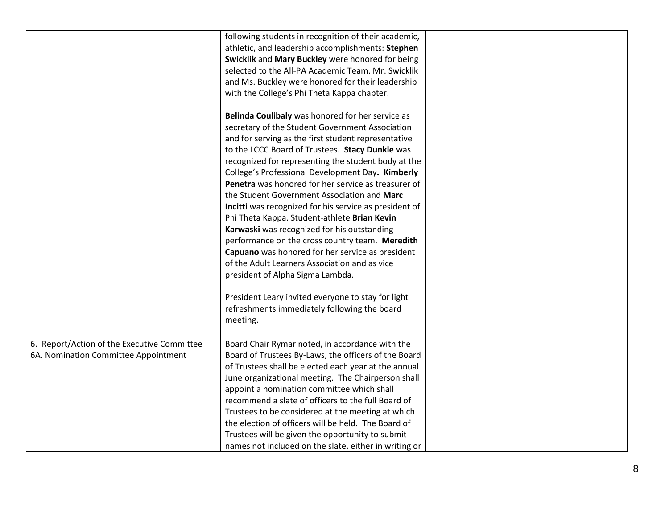|                                             | following students in recognition of their academic,   |  |
|---------------------------------------------|--------------------------------------------------------|--|
|                                             | athletic, and leadership accomplishments: Stephen      |  |
|                                             | Swicklik and Mary Buckley were honored for being       |  |
|                                             | selected to the All-PA Academic Team. Mr. Swicklik     |  |
|                                             | and Ms. Buckley were honored for their leadership      |  |
|                                             | with the College's Phi Theta Kappa chapter.            |  |
|                                             |                                                        |  |
|                                             | Belinda Coulibaly was honored for her service as       |  |
|                                             | secretary of the Student Government Association        |  |
|                                             | and for serving as the first student representative    |  |
|                                             | to the LCCC Board of Trustees. Stacy Dunkle was        |  |
|                                             | recognized for representing the student body at the    |  |
|                                             | College's Professional Development Day. Kimberly       |  |
|                                             | Penetra was honored for her service as treasurer of    |  |
|                                             | the Student Government Association and Marc            |  |
|                                             | Incitti was recognized for his service as president of |  |
|                                             |                                                        |  |
|                                             | Phi Theta Kappa. Student-athlete Brian Kevin           |  |
|                                             | Karwaski was recognized for his outstanding            |  |
|                                             | performance on the cross country team. Meredith        |  |
|                                             | Capuano was honored for her service as president       |  |
|                                             | of the Adult Learners Association and as vice          |  |
|                                             | president of Alpha Sigma Lambda.                       |  |
|                                             |                                                        |  |
|                                             | President Leary invited everyone to stay for light     |  |
|                                             | refreshments immediately following the board           |  |
|                                             | meeting.                                               |  |
|                                             |                                                        |  |
| 6. Report/Action of the Executive Committee | Board Chair Rymar noted, in accordance with the        |  |
| 6A. Nomination Committee Appointment        | Board of Trustees By-Laws, the officers of the Board   |  |
|                                             | of Trustees shall be elected each year at the annual   |  |
|                                             | June organizational meeting. The Chairperson shall     |  |
|                                             | appoint a nomination committee which shall             |  |
|                                             | recommend a slate of officers to the full Board of     |  |
|                                             | Trustees to be considered at the meeting at which      |  |
|                                             | the election of officers will be held. The Board of    |  |
|                                             | Trustees will be given the opportunity to submit       |  |
|                                             | names not included on the slate, either in writing or  |  |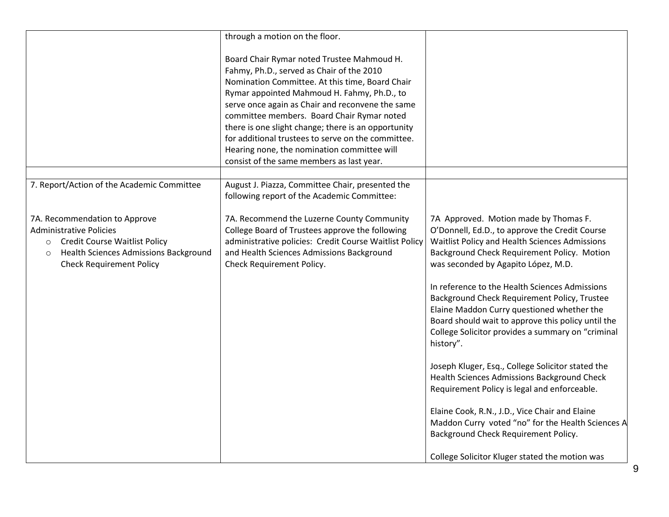|                                                                                                                                                                                           | through a motion on the floor.                                                                                                                                                                                                                                                                                                                                                                                                                                                                       |                                                                                                                                                                                                                                                                                                                                                                                                                                                                                                         |
|-------------------------------------------------------------------------------------------------------------------------------------------------------------------------------------------|------------------------------------------------------------------------------------------------------------------------------------------------------------------------------------------------------------------------------------------------------------------------------------------------------------------------------------------------------------------------------------------------------------------------------------------------------------------------------------------------------|---------------------------------------------------------------------------------------------------------------------------------------------------------------------------------------------------------------------------------------------------------------------------------------------------------------------------------------------------------------------------------------------------------------------------------------------------------------------------------------------------------|
|                                                                                                                                                                                           | Board Chair Rymar noted Trustee Mahmoud H.<br>Fahmy, Ph.D., served as Chair of the 2010<br>Nomination Committee. At this time, Board Chair<br>Rymar appointed Mahmoud H. Fahmy, Ph.D., to<br>serve once again as Chair and reconvene the same<br>committee members. Board Chair Rymar noted<br>there is one slight change; there is an opportunity<br>for additional trustees to serve on the committee.<br>Hearing none, the nomination committee will<br>consist of the same members as last year. |                                                                                                                                                                                                                                                                                                                                                                                                                                                                                                         |
| 7. Report/Action of the Academic Committee                                                                                                                                                | August J. Piazza, Committee Chair, presented the<br>following report of the Academic Committee:                                                                                                                                                                                                                                                                                                                                                                                                      |                                                                                                                                                                                                                                                                                                                                                                                                                                                                                                         |
| 7A. Recommendation to Approve<br><b>Administrative Policies</b><br>o Credit Course Waitlist Policy<br>Health Sciences Admissions Background<br>$\circ$<br><b>Check Requirement Policy</b> | 7A. Recommend the Luzerne County Community<br>College Board of Trustees approve the following<br>administrative policies: Credit Course Waitlist Policy<br>and Health Sciences Admissions Background<br>Check Requirement Policy.                                                                                                                                                                                                                                                                    | 7A Approved. Motion made by Thomas F.<br>O'Donnell, Ed.D., to approve the Credit Course<br>Waitlist Policy and Health Sciences Admissions<br>Background Check Requirement Policy. Motion<br>was seconded by Agapito López, M.D.<br>In reference to the Health Sciences Admissions<br>Background Check Requirement Policy, Trustee<br>Elaine Maddon Curry questioned whether the<br>Board should wait to approve this policy until the<br>College Solicitor provides a summary on "criminal<br>history". |
|                                                                                                                                                                                           |                                                                                                                                                                                                                                                                                                                                                                                                                                                                                                      | Joseph Kluger, Esq., College Solicitor stated the<br>Health Sciences Admissions Background Check<br>Requirement Policy is legal and enforceable.                                                                                                                                                                                                                                                                                                                                                        |
|                                                                                                                                                                                           |                                                                                                                                                                                                                                                                                                                                                                                                                                                                                                      | Elaine Cook, R.N., J.D., Vice Chair and Elaine<br>Maddon Curry voted "no" for the Health Sciences A<br>Background Check Requirement Policy.                                                                                                                                                                                                                                                                                                                                                             |
|                                                                                                                                                                                           |                                                                                                                                                                                                                                                                                                                                                                                                                                                                                                      | College Solicitor Kluger stated the motion was                                                                                                                                                                                                                                                                                                                                                                                                                                                          |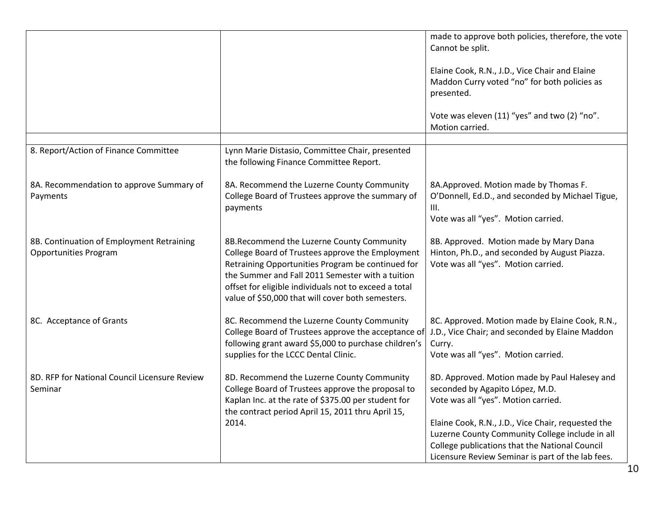|                                                                           |                                                                                                                                                                                                                                                                                                                      | made to approve both policies, therefore, the vote<br>Cannot be split.                                                                                                                                                                                                                                                                  |
|---------------------------------------------------------------------------|----------------------------------------------------------------------------------------------------------------------------------------------------------------------------------------------------------------------------------------------------------------------------------------------------------------------|-----------------------------------------------------------------------------------------------------------------------------------------------------------------------------------------------------------------------------------------------------------------------------------------------------------------------------------------|
|                                                                           |                                                                                                                                                                                                                                                                                                                      | Elaine Cook, R.N., J.D., Vice Chair and Elaine<br>Maddon Curry voted "no" for both policies as<br>presented.                                                                                                                                                                                                                            |
|                                                                           |                                                                                                                                                                                                                                                                                                                      | Vote was eleven (11) "yes" and two (2) "no".<br>Motion carried.                                                                                                                                                                                                                                                                         |
|                                                                           |                                                                                                                                                                                                                                                                                                                      |                                                                                                                                                                                                                                                                                                                                         |
| 8. Report/Action of Finance Committee                                     | Lynn Marie Distasio, Committee Chair, presented<br>the following Finance Committee Report.                                                                                                                                                                                                                           |                                                                                                                                                                                                                                                                                                                                         |
| 8A. Recommendation to approve Summary of<br>Payments                      | 8A. Recommend the Luzerne County Community<br>College Board of Trustees approve the summary of<br>payments                                                                                                                                                                                                           | 8A. Approved. Motion made by Thomas F.<br>O'Donnell, Ed.D., and seconded by Michael Tigue,<br>III.<br>Vote was all "yes". Motion carried.                                                                                                                                                                                               |
| 8B. Continuation of Employment Retraining<br><b>Opportunities Program</b> | 8B.Recommend the Luzerne County Community<br>College Board of Trustees approve the Employment<br>Retraining Opportunities Program be continued for<br>the Summer and Fall 2011 Semester with a tuition<br>offset for eligible individuals not to exceed a total<br>value of \$50,000 that will cover both semesters. | 8B. Approved. Motion made by Mary Dana<br>Hinton, Ph.D., and seconded by August Piazza.<br>Vote was all "yes". Motion carried.                                                                                                                                                                                                          |
| 8C. Acceptance of Grants                                                  | 8C. Recommend the Luzerne County Community<br>College Board of Trustees approve the acceptance of<br>following grant award \$5,000 to purchase children's<br>supplies for the LCCC Dental Clinic.                                                                                                                    | 8C. Approved. Motion made by Elaine Cook, R.N.,<br>J.D., Vice Chair; and seconded by Elaine Maddon<br>Curry.<br>Vote was all "yes". Motion carried.                                                                                                                                                                                     |
| 8D. RFP for National Council Licensure Review<br>Seminar                  | 8D. Recommend the Luzerne County Community<br>College Board of Trustees approve the proposal to<br>Kaplan Inc. at the rate of \$375.00 per student for<br>the contract period April 15, 2011 thru April 15,<br>2014.                                                                                                 | 8D. Approved. Motion made by Paul Halesey and<br>seconded by Agapito López, M.D.<br>Vote was all "yes". Motion carried.<br>Elaine Cook, R.N., J.D., Vice Chair, requested the<br>Luzerne County Community College include in all<br>College publications that the National Council<br>Licensure Review Seminar is part of the lab fees. |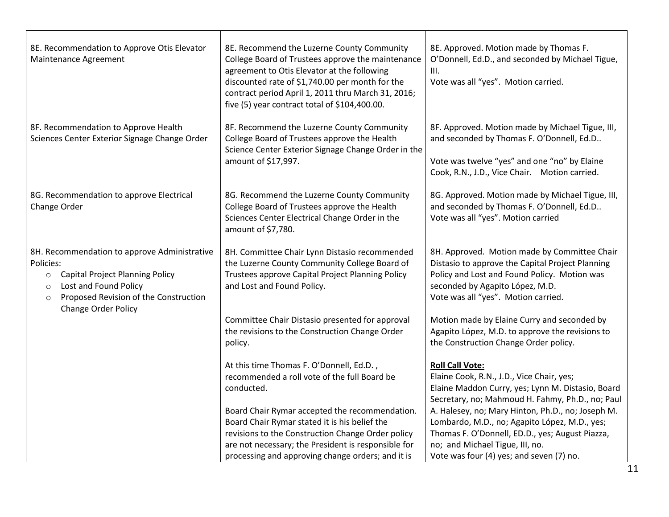| 8E. Recommendation to Approve Otis Elevator<br>Maintenance Agreement                                                                                                                                                          | 8E. Recommend the Luzerne County Community<br>College Board of Trustees approve the maintenance<br>agreement to Otis Elevator at the following<br>discounted rate of \$1,740.00 per month for the<br>contract period April 1, 2011 thru March 31, 2016;<br>five (5) year contract total of \$104,400.00. | 8E. Approved. Motion made by Thomas F.<br>O'Donnell, Ed.D., and seconded by Michael Tigue,<br>III.<br>Vote was all "yes". Motion carried.                                                                                            |
|-------------------------------------------------------------------------------------------------------------------------------------------------------------------------------------------------------------------------------|----------------------------------------------------------------------------------------------------------------------------------------------------------------------------------------------------------------------------------------------------------------------------------------------------------|--------------------------------------------------------------------------------------------------------------------------------------------------------------------------------------------------------------------------------------|
| 8F. Recommendation to Approve Health<br>Sciences Center Exterior Signage Change Order                                                                                                                                         | 8F. Recommend the Luzerne County Community<br>College Board of Trustees approve the Health<br>Science Center Exterior Signage Change Order in the<br>amount of \$17,997.                                                                                                                                 | 8F. Approved. Motion made by Michael Tigue, III,<br>and seconded by Thomas F. O'Donnell, Ed.D<br>Vote was twelve "yes" and one "no" by Elaine<br>Cook, R.N., J.D., Vice Chair. Motion carried.                                       |
| 8G. Recommendation to approve Electrical<br>Change Order                                                                                                                                                                      | 8G. Recommend the Luzerne County Community<br>College Board of Trustees approve the Health<br>Sciences Center Electrical Change Order in the<br>amount of \$7,780.                                                                                                                                       | 8G. Approved. Motion made by Michael Tigue, III,<br>and seconded by Thomas F. O'Donnell, Ed.D<br>Vote was all "yes". Motion carried                                                                                                  |
| 8H. Recommendation to approve Administrative<br>Policies:<br><b>Capital Project Planning Policy</b><br>$\circ$<br>Lost and Found Policy<br>$\circ$<br>Proposed Revision of the Construction<br>$\circ$<br>Change Order Policy | 8H. Committee Chair Lynn Distasio recommended<br>the Luzerne County Community College Board of<br>Trustees approve Capital Project Planning Policy<br>and Lost and Found Policy.                                                                                                                         | 8H. Approved. Motion made by Committee Chair<br>Distasio to approve the Capital Project Planning<br>Policy and Lost and Found Policy. Motion was<br>seconded by Agapito López, M.D.<br>Vote was all "yes". Motion carried.           |
|                                                                                                                                                                                                                               | Committee Chair Distasio presented for approval<br>the revisions to the Construction Change Order<br>policy.                                                                                                                                                                                             | Motion made by Elaine Curry and seconded by<br>Agapito López, M.D. to approve the revisions to<br>the Construction Change Order policy.                                                                                              |
|                                                                                                                                                                                                                               | At this time Thomas F. O'Donnell, Ed.D.,<br>recommended a roll vote of the full Board be<br>conducted.                                                                                                                                                                                                   | <b>Roll Call Vote:</b><br>Elaine Cook, R.N., J.D., Vice Chair, yes;<br>Elaine Maddon Curry, yes; Lynn M. Distasio, Board<br>Secretary, no; Mahmoud H. Fahmy, Ph.D., no; Paul                                                         |
|                                                                                                                                                                                                                               | Board Chair Rymar accepted the recommendation.<br>Board Chair Rymar stated it is his belief the<br>revisions to the Construction Change Order policy<br>are not necessary; the President is responsible for<br>processing and approving change orders; and it is                                         | A. Halesey, no; Mary Hinton, Ph.D., no; Joseph M.<br>Lombardo, M.D., no; Agapito López, M.D., yes;<br>Thomas F. O'Donnell, ED.D., yes; August Piazza,<br>no; and Michael Tigue, III, no.<br>Vote was four (4) yes; and seven (7) no. |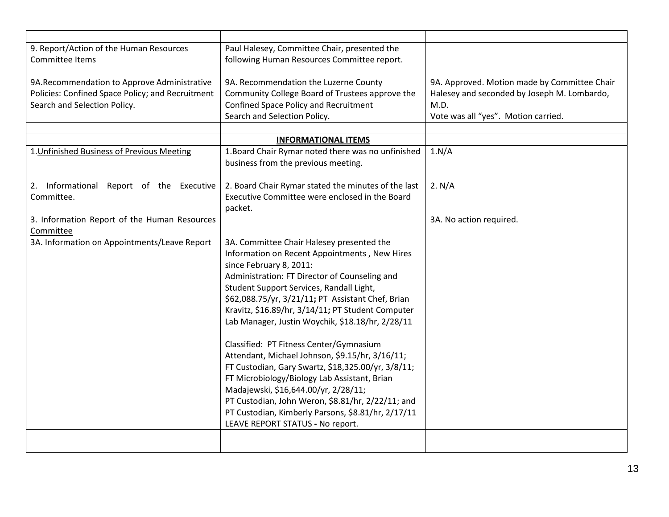| 9. Report/Action of the Human Resources<br>Committee Items                                                                      | Paul Halesey, Committee Chair, presented the<br>following Human Resources Committee report.                                                                                                                                                                                                                                                                                             |                                                                                                                                            |
|---------------------------------------------------------------------------------------------------------------------------------|-----------------------------------------------------------------------------------------------------------------------------------------------------------------------------------------------------------------------------------------------------------------------------------------------------------------------------------------------------------------------------------------|--------------------------------------------------------------------------------------------------------------------------------------------|
| 9A.Recommendation to Approve Administrative<br>Policies: Confined Space Policy; and Recruitment<br>Search and Selection Policy. | 9A. Recommendation the Luzerne County<br>Community College Board of Trustees approve the<br>Confined Space Policy and Recruitment<br>Search and Selection Policy.                                                                                                                                                                                                                       | 9A. Approved. Motion made by Committee Chair<br>Halesey and seconded by Joseph M. Lombardo,<br>M.D.<br>Vote was all "yes". Motion carried. |
|                                                                                                                                 |                                                                                                                                                                                                                                                                                                                                                                                         |                                                                                                                                            |
|                                                                                                                                 | <b>INFORMATIONAL ITEMS</b>                                                                                                                                                                                                                                                                                                                                                              |                                                                                                                                            |
| 1. Unfinished Business of Previous Meeting                                                                                      | 1. Board Chair Rymar noted there was no unfinished<br>business from the previous meeting.                                                                                                                                                                                                                                                                                               | 1.N/A                                                                                                                                      |
| 2. Informational Report of the Executive<br>Committee.                                                                          | 2. Board Chair Rymar stated the minutes of the last<br>Executive Committee were enclosed in the Board<br>packet.                                                                                                                                                                                                                                                                        | 2. N/A                                                                                                                                     |
| 3. Information Report of the Human Resources<br>Committee                                                                       |                                                                                                                                                                                                                                                                                                                                                                                         | 3A. No action required.                                                                                                                    |
| 3A. Information on Appointments/Leave Report                                                                                    | 3A. Committee Chair Halesey presented the<br>Information on Recent Appointments, New Hires<br>since February 8, 2011:<br>Administration: FT Director of Counseling and<br>Student Support Services, Randall Light,<br>\$62,088.75/yr, 3/21/11; PT Assistant Chef, Brian<br>Kravitz, \$16.89/hr, 3/14/11; PT Student Computer<br>Lab Manager, Justin Woychik, \$18.18/hr, 2/28/11        |                                                                                                                                            |
|                                                                                                                                 | Classified: PT Fitness Center/Gymnasium<br>Attendant, Michael Johnson, \$9.15/hr, 3/16/11;<br>FT Custodian, Gary Swartz, \$18,325.00/yr, 3/8/11;<br>FT Microbiology/Biology Lab Assistant, Brian<br>Madajewski, \$16,644.00/yr, 2/28/11;<br>PT Custodian, John Weron, \$8.81/hr, 2/22/11; and<br>PT Custodian, Kimberly Parsons, \$8.81/hr, 2/17/11<br>LEAVE REPORT STATUS - No report. |                                                                                                                                            |
|                                                                                                                                 |                                                                                                                                                                                                                                                                                                                                                                                         |                                                                                                                                            |